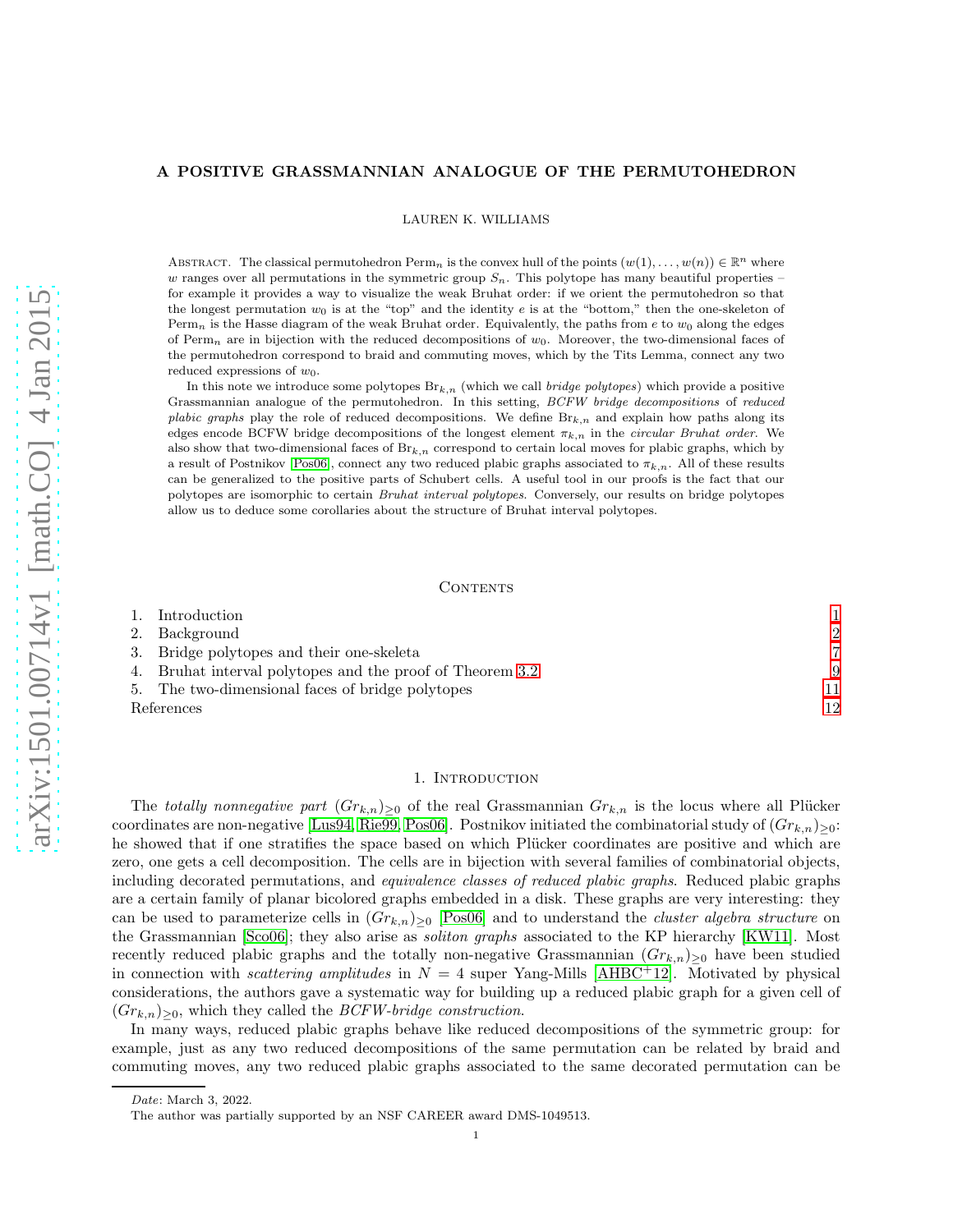# A POSITIVE GRASSMANNIAN ANALOGUE OF THE PERMUTOHEDRON

LAUREN K. WILLIAMS

ABSTRACT. The classical permutohedron  $\text{Perm}_n$  is the convex hull of the points  $(w(1), \ldots, w(n)) \in \mathbb{R}^n$  where w ranges over all permutations in the symmetric group  $S_n$ . This polytope has many beautiful properties – for example it provides a way to visualize the weak Bruhat order: if we orient the permutohedron so that the longest permutation  $w_0$  is at the "top" and the identity e is at the "bottom," then the one-skeleton of Perm<sub>n</sub> is the Hasse diagram of the weak Bruhat order. Equivalently, the paths from e to  $w_0$  along the edges of Perm<sub>n</sub> are in bijection with the reduced decompositions of  $w_0$ . Moreover, the two-dimensional faces of the permutohedron correspond to braid and commuting moves, which by the Tits Lemma, connect any two reduced expressions of  $w_0$ .

In this note we introduce some polytopes  $Br_{k,n}$  (which we call *bridge polytopes*) which provide a positive Grassmannian analogue of the permutohedron. In this setting, BCFW bridge decompositions of reduced plabic graphs play the role of reduced decompositions. We define  $Br_{k,n}$  and explain how paths along its edges encode BCFW bridge decompositions of the longest element  $\pi_{k,n}$  in the *circular Bruhat order*. We also show that two-dimensional faces of  $Br_{k,n}$  correspond to certain local moves for plabic graphs, which by a result of Postnikov [\[Pos06\]](#page-11-0), connect any two reduced plabic graphs associated to  $\pi_{k,n}$ . All of these results can be generalized to the positive parts of Schubert cells. A useful tool in our proofs is the fact that our polytopes are isomorphic to certain Bruhat interval polytopes. Conversely, our results on bridge polytopes allow us to deduce some corollaries about the structure of Bruhat interval polytopes.

## CONTENTS

| 1. Introduction                                           |               |
|-----------------------------------------------------------|---------------|
| 2. Background                                             | $\mathcal{D}$ |
| 3. Bridge polytopes and their one-skeleta                 | ,             |
| 4. Bruhat interval polytopes and the proof of Theorem 3.2 | 9             |
| 5. The two-dimensional faces of bridge polytopes          | 11            |
| References                                                | 12            |

### 1. Introduction

<span id="page-0-0"></span>The totally nonnegative part  $(Gr_{k,n})_{>0}$  of the real Grassmannian  $Gr_{k,n}$  is the locus where all Plücker coordinates are non-negative [\[Lus94,](#page-11-2) [Rie99,](#page-11-3) [Pos06\]](#page-11-0). Postnikov initiated the combinatorial study of  $(Gr_{k,n})_{\geq 0}$ : he showed that if one stratifies the space based on which Plücker coordinates are positive and which are zero, one gets a cell decomposition. The cells are in bijection with several families of combinatorial objects, including decorated permutations, and equivalence classes of reduced plabic graphs. Reduced plabic graphs are a certain family of planar bicolored graphs embedded in a disk. These graphs are very interesting: they can be used to parameterize cells in  $(Gr_{k,n})_{>0}$  [\[Pos06\]](#page-11-0) and to understand the *cluster algebra structure* on the Grassmannian [\[Sco06\]](#page-11-4); they also arise as soliton graphs associated to the KP hierarchy [\[KW11\]](#page-11-5). Most recently reduced plabic graphs and the totally non-negative Grassmannian  $(Gr_{k,n})_{\geq 0}$  have been studied in connection with *scattering amplitudes* in  $N = 4$  super Yang-Mills [\[AHBC](#page-11-6)<sup>+</sup>12]. Motivated by physical considerations, the authors gave a systematic way for building up a reduced plabic graph for a given cell of  $(Gr_{k,n})_{\geq 0}$ , which they called the *BCFW-bridge construction*.

In many ways, reduced plabic graphs behave like reduced decompositions of the symmetric group: for example, just as any two reduced decompositions of the same permutation can be related by braid and commuting moves, any two reduced plabic graphs associated to the same decorated permutation can be

Date: March 3, 2022.

The author was partially supported by an NSF CAREER award DMS-1049513.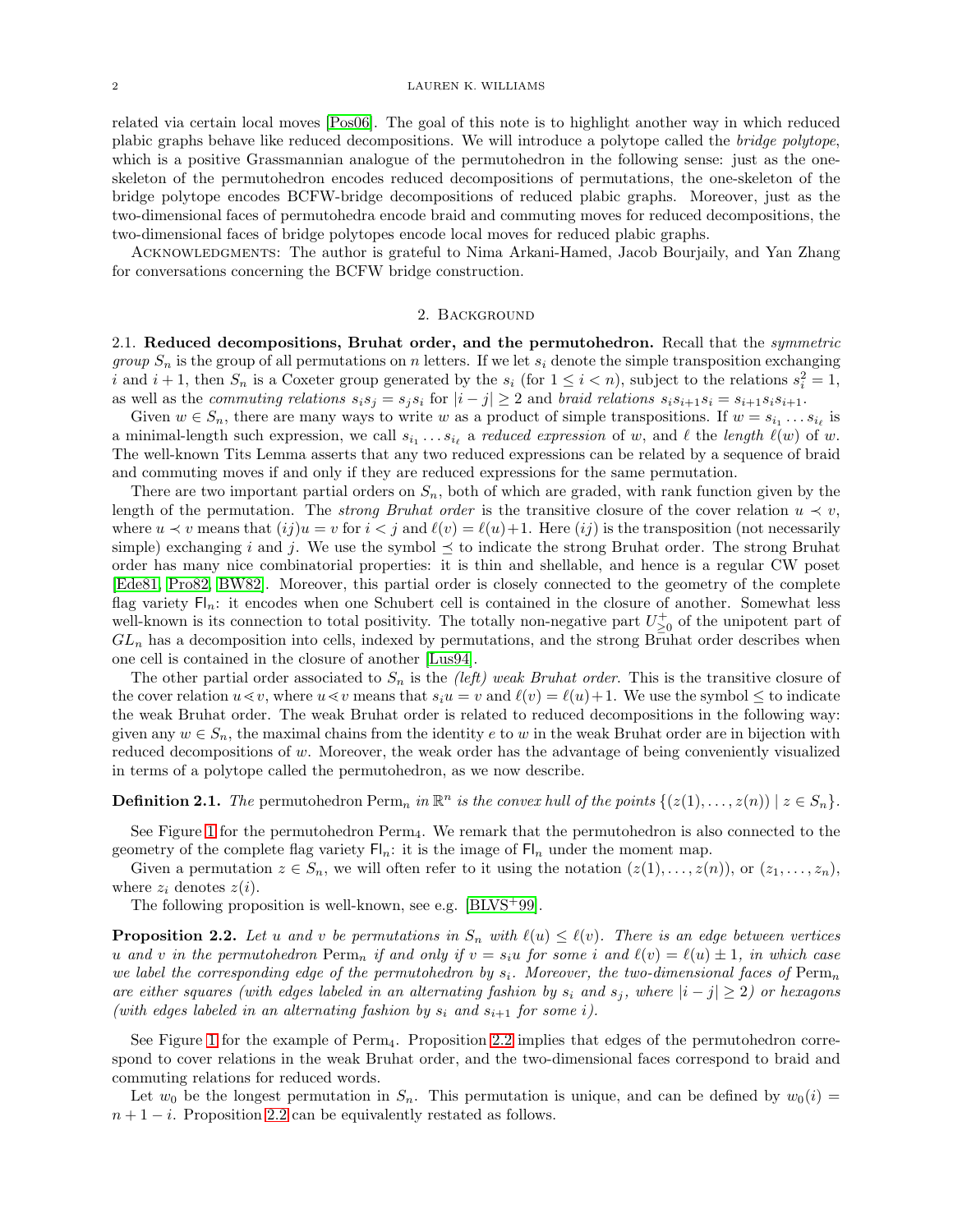related via certain local moves [\[Pos06\]](#page-11-0). The goal of this note is to highlight another way in which reduced plabic graphs behave like reduced decompositions. We will introduce a polytope called the bridge polytope, which is a positive Grassmannian analogue of the permutohedron in the following sense: just as the oneskeleton of the permutohedron encodes reduced decompositions of permutations, the one-skeleton of the bridge polytope encodes BCFW-bridge decompositions of reduced plabic graphs. Moreover, just as the two-dimensional faces of permutohedra encode braid and commuting moves for reduced decompositions, the two-dimensional faces of bridge polytopes encode local moves for reduced plabic graphs.

<span id="page-1-0"></span>Acknowledgments: The author is grateful to Nima Arkani-Hamed, Jacob Bourjaily, and Yan Zhang for conversations concerning the BCFW bridge construction.

# 2. Background

2.1. Reduced decompositions, Bruhat order, and the permutohedron. Recall that the *symmetric group*  $S_n$  is the group of all permutations on n letters. If we let  $s_i$  denote the simple transposition exchanging i and  $i + 1$ , then  $S_n$  is a Coxeter group generated by the  $s_i$  (for  $1 \leq i < n$ ), subject to the relations  $s_i^2 = 1$ , as well as the *commuting relations*  $s_i s_j = s_j s_i$  for  $|i - j| \geq 2$  and *braid relations*  $s_i s_{i+1} s_i = s_{i+1} s_i s_{i+1}$ .

Given  $w \in S_n$ , there are many ways to write w as a product of simple transpositions. If  $w = s_{i_1} \ldots s_{i_\ell}$  is a minimal-length such expression, we call  $s_{i_1} \ldots s_{i_\ell}$  a reduced expression of w, and  $\ell$  the length  $\ell(w)$  of w. The well-known Tits Lemma asserts that any two reduced expressions can be related by a sequence of braid and commuting moves if and only if they are reduced expressions for the same permutation.

There are two important partial orders on  $S_n$ , both of which are graded, with rank function given by the length of the permutation. The *strong Bruhat order* is the transitive closure of the cover relation  $u \prec v$ , where  $u \prec v$  means that  $(ij)u = v$  for  $i < j$  and  $\ell(v) = \ell(u)+1$ . Here  $(ij)$  is the transposition (not necessarily simple) exchanging i and j. We use the symbol  $\preceq$  to indicate the strong Bruhat order. The strong Bruhat order has many nice combinatorial properties: it is thin and shellable, and hence is a regular CW poset [\[Ede81,](#page-11-7) [Pro82,](#page-11-8) [BW82\]](#page-11-9). Moreover, this partial order is closely connected to the geometry of the complete flag variety  $\mathsf{Fl}_n$ : it encodes when one Schubert cell is contained in the closure of another. Somewhat less well-known is its connection to total positivity. The totally non-negative part  $U_{\geq 0}^+$  of the unipotent part of  $GL_n$  has a decomposition into cells, indexed by permutations, and the strong Bruhat order describes when one cell is contained in the closure of another [\[Lus94\]](#page-11-2).

The other partial order associated to  $S_n$  is the *(left)* weak Bruhat order. This is the transitive closure of the cover relation  $u \ll v$ , where  $u \ll v$  means that  $s_i u = v$  and  $\ell(v) = \ell(u) + 1$ . We use the symbol  $\leq$  to indicate the weak Bruhat order. The weak Bruhat order is related to reduced decompositions in the following way: given any  $w \in S_n$ , the maximal chains from the identity e to w in the weak Bruhat order are in bijection with reduced decompositions of w. Moreover, the weak order has the advantage of being conveniently visualized in terms of a polytope called the permutohedron, as we now describe.

# **Definition 2.1.** The permutohedron  $\text{Perm}_n$  in  $\mathbb{R}^n$  is the convex hull of the points  $\{(z(1),...,z(n)) \mid z \in S_n\}$ .

See Figure [1](#page-2-0) for the permutohedron Perm4. We remark that the permutohedron is also connected to the geometry of the complete flag variety  $\mathsf{Fl}_n$ : it is the image of  $\mathsf{Fl}_n$  under the moment map.

Given a permutation  $z \in S_n$ , we will often refer to it using the notation  $(z(1),...,z(n))$ , or  $(z_1,...,z_n)$ , where  $z_i$  denotes  $z(i)$ .

The following proposition is well-known, see e.g. [\[BLVS](#page-11-10)+99].

<span id="page-1-1"></span>**Proposition 2.2.** Let u and v be permutations in  $S_n$  with  $\ell(u) \leq \ell(v)$ . There is an edge between vertices u and v in the permutohedron  $\text{Perm}_n$  if and only if  $v = s_iu$  for some i and  $\ell(v) = \ell(u) \pm 1$ , in which case we label the corresponding edge of the permutohedron by  $s_i$ . Moreover, the two-dimensional faces of Perm<sub>n</sub> are either squares (with edges labeled in an alternating fashion by  $s_i$  and  $s_j$ , where  $|i - j| \ge 2$ ) or hexagons (with edges labeled in an alternating fashion by  $s_i$  and  $s_{i+1}$  for some i).

See Figure [1](#page-2-0) for the example of Perm<sub>4</sub>. Proposition [2.2](#page-1-1) implies that edges of the permutohedron correspond to cover relations in the weak Bruhat order, and the two-dimensional faces correspond to braid and commuting relations for reduced words.

Let  $w_0$  be the longest permutation in  $S_n$ . This permutation is unique, and can be defined by  $w_0(i)$  $n + 1 - i$ . Proposition [2.2](#page-1-1) can be equivalently restated as follows.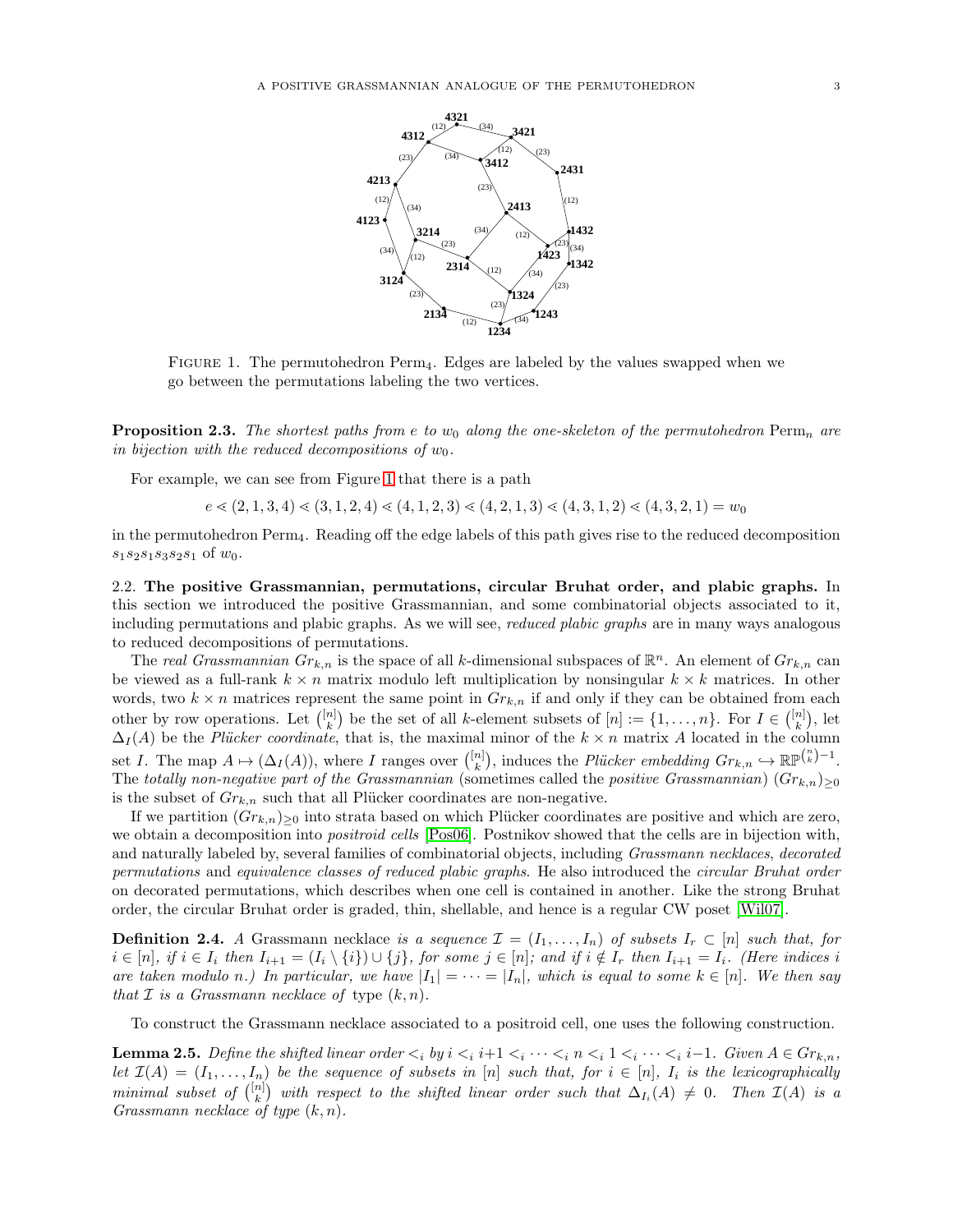<span id="page-2-0"></span>

Figure 1. The permutohedron Perm4. Edges are labeled by the values swapped when we go between the permutations labeling the two vertices.

**Proposition 2.3.** The shortest paths from e to  $w_0$  along the one-skeleton of the permutohedron Perm<sub>n</sub> are in bijection with the reduced decompositions of  $w_0$ .

For example, we can see from Figure [1](#page-2-0) that there is a path

 $e \le (2, 1, 3, 4) \le (3, 1, 2, 4) \le (4, 1, 2, 3) \le (4, 2, 1, 3) \le (4, 3, 1, 2) \le (4, 3, 2, 1) = w_0$ 

in the permutohedron Perm4. Reading off the edge labels of this path gives rise to the reduced decomposition  $s_1s_2s_1s_3s_2s_1$  of  $w_0$ .

2.2. The positive Grassmannian, permutations, circular Bruhat order, and plabic graphs. In this section we introduced the positive Grassmannian, and some combinatorial objects associated to it, including permutations and plabic graphs. As we will see, reduced plabic graphs are in many ways analogous to reduced decompositions of permutations.

The real Grassmannian  $Gr_{k,n}$  is the space of all k-dimensional subspaces of  $\mathbb{R}^n$ . An element of  $Gr_{k,n}$  can be viewed as a full-rank  $k \times n$  matrix modulo left multiplication by nonsingular  $k \times k$  matrices. In other words, two  $k \times n$  matrices represent the same point in  $Gr_{k,n}$  if and only if they can be obtained from each other by row operations. Let  $\binom{[n]}{k}$  be the set of all k-element subsets of  $[n] := \{1, \ldots, n\}$ . For  $I \in \binom{[n]}{k}$ , let  $\Delta_I(A)$  be the *Plücker coordinate*, that is, the maximal minor of the k × n matrix A located in the column set I. The map  $A \mapsto (\Delta_I(A))$ , where I ranges over  $\binom{[n]}{k}$ , induces the *Plücker embedding*  $Gr_{k,n} \hookrightarrow \mathbb{RP}^{n-1}$ . The totally non-negative part of the Grassmannian (sometimes called the positive Grassmannian)  $(Gr_{k,n})_{\geq 0}$ is the subset of  $Gr_{k,n}$  such that all Plücker coordinates are non-negative.

If we partition  $(Gr_{k,n})_{\geq 0}$  into strata based on which Plücker coordinates are positive and which are zero, we obtain a decomposition into *positroid cells* [\[Pos06\]](#page-11-0). Postnikov showed that the cells are in bijection with, and naturally labeled by, several families of combinatorial objects, including Grassmann necklaces, decorated permutations and equivalence classes of reduced plabic graphs. He also introduced the circular Bruhat order on decorated permutations, which describes when one cell is contained in another. Like the strong Bruhat order, the circular Bruhat order is graded, thin, shellable, and hence is a regular CW poset [\[Wil07\]](#page-11-11).

**Definition 2.4.** A Grassmann necklace is a sequence  $\mathcal{I} = (I_1, \ldots, I_n)$  of subsets  $I_r \subset [n]$  such that, for  $i \in [n],$  if  $i \in I_i$  then  $I_{i+1} = (I_i \setminus \{i\}) \cup \{j\}$ , for some  $j \in [n]$ ; and if  $i \notin I_r$  then  $I_{i+1} = I_i$ . (Here indices i are taken modulo n.) In particular, we have  $|I_1| = \cdots = |I_n|$ , which is equal to some  $k \in [n]$ . We then say that  $\mathcal I$  is a Grassmann necklace of type  $(k, n)$ .

To construct the Grassmann necklace associated to a positroid cell, one uses the following construction.

**Lemma 2.5.** Define the shifted linear order  $\lt_i$  by  $i \lt_i i+1 \lt_i \cdots \lt_i n \lt_i 1 \lt_i \cdots \lt_i i-1$ . Given  $A \in Gr_{k,n}$ , let  $\mathcal{I}(A) = (I_1, \ldots, I_n)$  be the sequence of subsets in [n] such that, for  $i \in [n]$ ,  $I_i$  is the lexicographically minimal subset of  $\binom{[n]}{k}$  with respect to the shifted linear order such that  $\Delta_{I_i}(A) \neq 0$ . Then  $\mathcal{I}(A)$  is a Grassmann necklace of type  $(k, n)$ .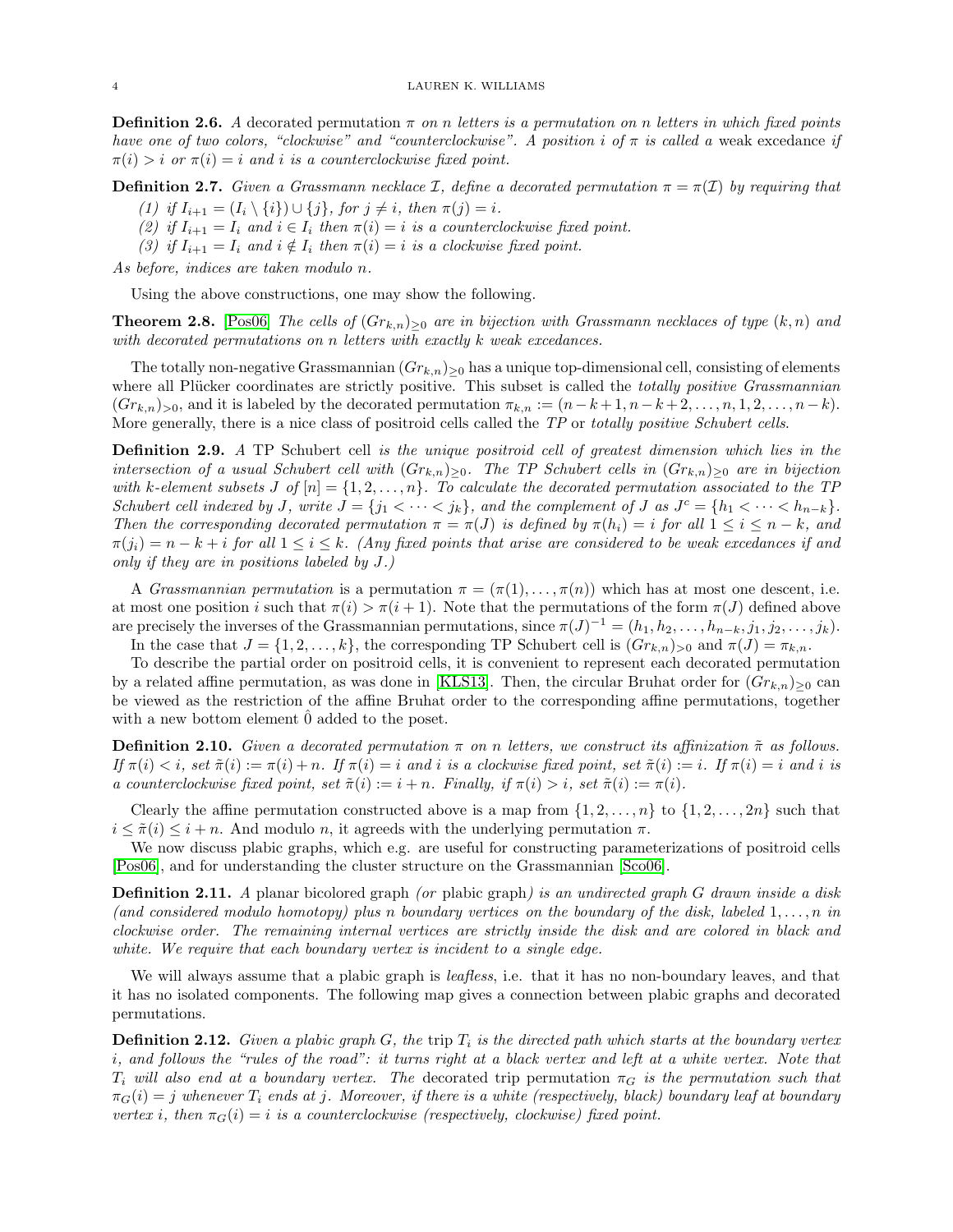**Definition 2.6.** A decorated permutation  $\pi$  on n letters is a permutation on n letters in which fixed points have one of two colors, "clockwise" and "counterclockwise". A position i of  $\pi$  is called a weak excedance if  $\pi(i) > i$  or  $\pi(i) = i$  and i is a counterclockwise fixed point.

**Definition 2.7.** Given a Grassmann necklace I, define a decorated permutation  $\pi = \pi(I)$  by requiring that

- (1) if  $I_{i+1} = (I_i \setminus \{i\}) \cup \{j\}$ , for  $j \neq i$ , then  $\pi(j) = i$ .
- (2) if  $I_{i+1} = I_i$  and  $i \in I_i$  then  $\pi(i) = i$  is a counterclockwise fixed point.
- (3) if  $I_{i+1} = I_i$  and  $i \notin I_i$  then  $\pi(i) = i$  is a clockwise fixed point.

As before, indices are taken modulo n.

Using the above constructions, one may show the following.

**Theorem 2.8.** [\[Pos06\]](#page-11-0) The cells of  $(Gr_{k,n})_{\geq 0}$  are in bijection with Grassmann necklaces of type  $(k,n)$  and with decorated permutations on n letters with exactly k weak excedances.

The totally non-negative Grassmannian  $(Gr_{k,n})_{>0}$  has a unique top-dimensional cell, consisting of elements where all Plücker coordinates are strictly positive. This subset is called the totally positive Grassmannian  $(Gr_{k,n})_{\geq 0}$ , and it is labeled by the decorated permutation  $\pi_{k,n} := (n-k+1, n-k+2, \ldots, n, 1, 2, \ldots, n-k).$ More generally, there is a nice class of positroid cells called the TP or totally positive Schubert cells.

<span id="page-3-2"></span>**Definition 2.9.** A TP Schubert cell is the unique positroid cell of greatest dimension which lies in the intersection of a usual Schubert cell with  $(Gr_{k,n})_{\geq 0}$ . The TP Schubert cells in  $(Gr_{k,n})_{\geq 0}$  are in bijection with k-element subsets J of  $[n] = \{1, 2, ..., n\}$ . To calculate the decorated permutation associated to the TP Schubert cell indexed by J, write  $J = \{j_1 < \cdots < j_k\}$ , and the complement of J as  $J^c = \{h_1 < \cdots < h_{n-k}\}$ . Then the corresponding decorated permutation  $\pi = \pi(J)$  is defined by  $\pi(h_i) = i$  for all  $1 \leq i \leq n - k$ , and  $\pi(j_i) = n - k + i$  for all  $1 \leq i \leq k$ . (Any fixed points that arise are considered to be weak excedances if and only if they are in positions labeled by J.)

A *Grassmannian permutation* is a permutation  $\pi = (\pi(1), \ldots, \pi(n))$  which has at most one descent, i.e. at most one position i such that  $\pi(i) > \pi(i + 1)$ . Note that the permutations of the form  $\pi(J)$  defined above are precisely the inverses of the Grassmannian permutations, since  $\pi(J)^{-1} = (h_1, h_2, \ldots, h_{n-k}, j_1, j_2, \ldots, j_k)$ .

In the case that  $J = \{1, 2, \ldots, k\}$ , the corresponding TP Schubert cell is  $(Gr_{k,n})_{>0}$  and  $\pi(J) = \pi_{k,n}$ .

To describe the partial order on positroid cells, it is convenient to represent each decorated permutation by a related affine permutation, as was done in [\[KLS13\]](#page-11-12). Then, the circular Bruhat order for  $(Gr_{k,n})_{\geq 0}$  can be viewed as the restriction of the affine Bruhat order to the corresponding affine permutations, together with a new bottom element  $\hat{0}$  added to the poset.

<span id="page-3-1"></span>**Definition 2.10.** Given a decorated permutation  $\pi$  on n letters, we construct its affinization  $\tilde{\pi}$  as follows. If  $\pi(i) < i$ , set  $\tilde{\pi}(i) := \pi(i) + n$ . If  $\pi(i) = i$  and i is a clockwise fixed point, set  $\tilde{\pi}(i) := i$ . If  $\pi(i) = i$  and i is a counterclockwise fixed point, set  $\tilde{\pi}(i) := i + n$ . Finally, if  $\pi(i) > i$ , set  $\tilde{\pi}(i) := \pi(i)$ .

Clearly the affine permutation constructed above is a map from  $\{1, 2, \ldots, n\}$  to  $\{1, 2, \ldots, 2n\}$  such that  $i \leq \tilde{\pi}(i) \leq i + n$ . And modulo n, it agreeds with the underlying permutation  $\pi$ .

We now discuss plabic graphs, which e.g. are useful for constructing parameterizations of positroid cells [\[Pos06\]](#page-11-0), and for understanding the cluster structure on the Grassmannian [\[Sco06\]](#page-11-4).

**Definition 2.11.** A planar bicolored graph (or plabic graph) is an undirected graph G drawn inside a disk (and considered modulo homotopy) plus n boundary vertices on the boundary of the disk, labeled  $1, \ldots, n$  in clockwise order. The remaining internal vertices are strictly inside the disk and are colored in black and white. We require that each boundary vertex is incident to a single edge.

We will always assume that a plabic graph is *leafless*, i.e. that it has no non-boundary leaves, and that it has no isolated components. The following map gives a connection between plabic graphs and decorated permutations.

<span id="page-3-0"></span>**Definition 2.12.** Given a plabic graph G, the trip  $T_i$  is the directed path which starts at the boundary vertex i, and follows the "rules of the road": it turns right at a black vertex and left at a white vertex. Note that  $T_i$  will also end at a boundary vertex. The decorated trip permutation  $\pi_G$  is the permutation such that  $\pi_G(i) = j$  whenever  $T_i$  ends at j. Moreover, if there is a white (respectively, black) boundary leaf at boundary vertex i, then  $\pi_G(i) = i$  is a counterclockwise (respectively, clockwise) fixed point.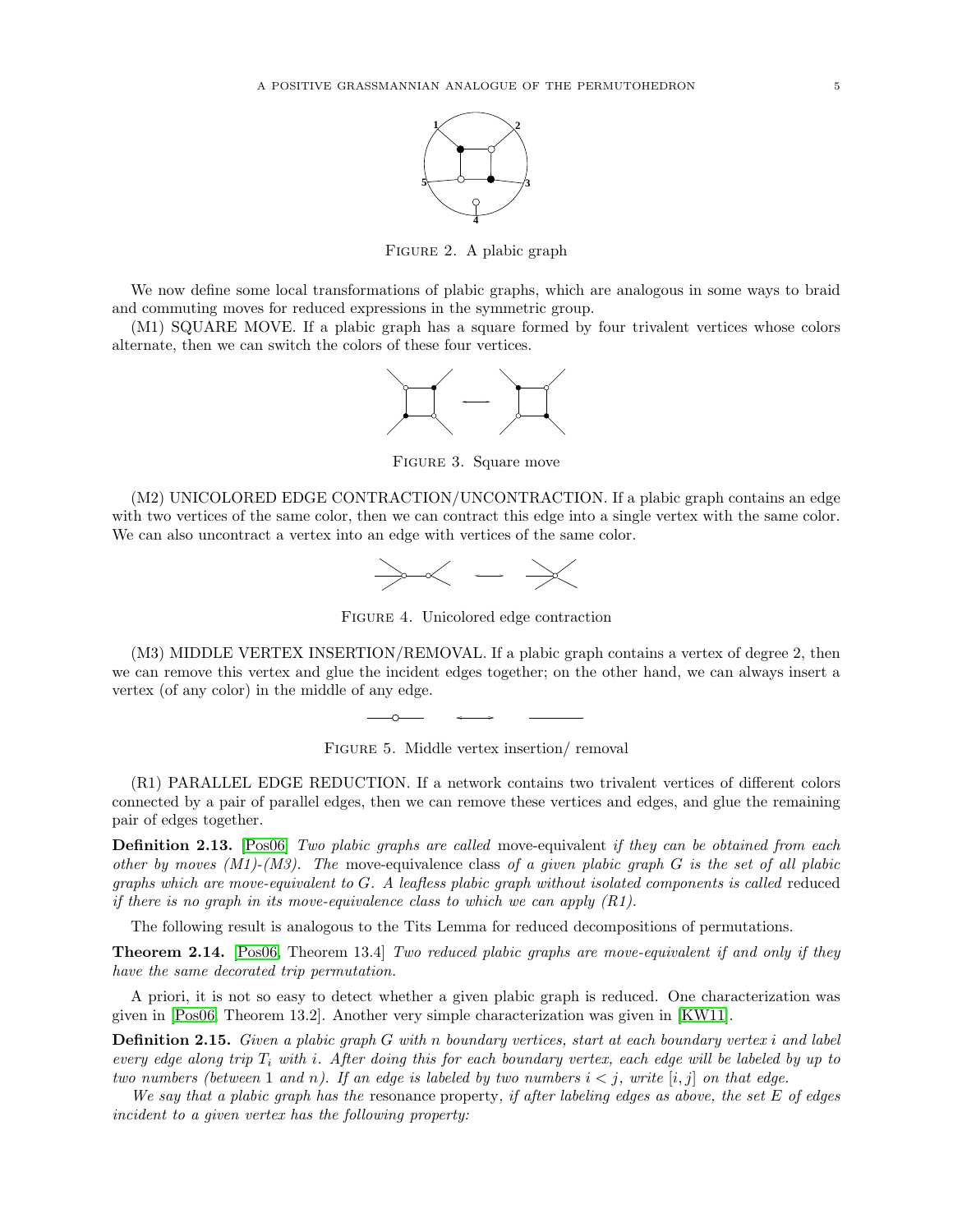

FIGURE 2. A plabic graph

We now define some local transformations of plabic graphs, which are analogous in some ways to braid and commuting moves for reduced expressions in the symmetric group.

(M1) SQUARE MOVE. If a plabic graph has a square formed by four trivalent vertices whose colors alternate, then we can switch the colors of these four vertices.



Figure 3. Square move

(M2) UNICOLORED EDGE CONTRACTION/UNCONTRACTION. If a plabic graph contains an edge with two vertices of the same color, then we can contract this edge into a single vertex with the same color. We can also uncontract a vertex into an edge with vertices of the same color.



Figure 4. Unicolored edge contraction

(M3) MIDDLE VERTEX INSERTION/REMOVAL. If a plabic graph contains a vertex of degree 2, then we can remove this vertex and glue the incident edges together; on the other hand, we can always insert a vertex (of any color) in the middle of any edge.



(R1) PARALLEL EDGE REDUCTION. If a network contains two trivalent vertices of different colors connected by a pair of parallel edges, then we can remove these vertices and edges, and glue the remaining pair of edges together.

**Definition 2.13.** [\[Pos06\]](#page-11-0) Two plabic graphs are called move-equivalent if they can be obtained from each other by moves  $(M1)-(M3)$ . The move-equivalence class of a given plabic graph G is the set of all plabic graphs which are move-equivalent to  $G$ . A leafless plabic graph without isolated components is called reduced if there is no graph in its move-equivalence class to which we can apply  $(R1)$ .

The following result is analogous to the Tits Lemma for reduced decompositions of permutations.

**Theorem 2.14.** [\[Pos06,](#page-11-0) Theorem 13.4] Two reduced plabic graphs are move-equivalent if and only if they have the same decorated trip permutation.

A priori, it is not so easy to detect whether a given plabic graph is reduced. One characterization was given in [\[Pos06,](#page-11-0) Theorem 13.2]. Another very simple characterization was given in [\[KW11\]](#page-11-5).

**Definition 2.15.** Given a plabic graph G with n boundary vertices, start at each boundary vertex i and label every edge along trip  $T_i$  with i. After doing this for each boundary vertex, each edge will be labeled by up to two numbers (between 1 and n). If an edge is labeled by two numbers  $i < j$ , write  $[i, j]$  on that edge.

We say that a plabic graph has the resonance property, if after labeling edges as above, the set  $E$  of edges incident to a given vertex has the following property: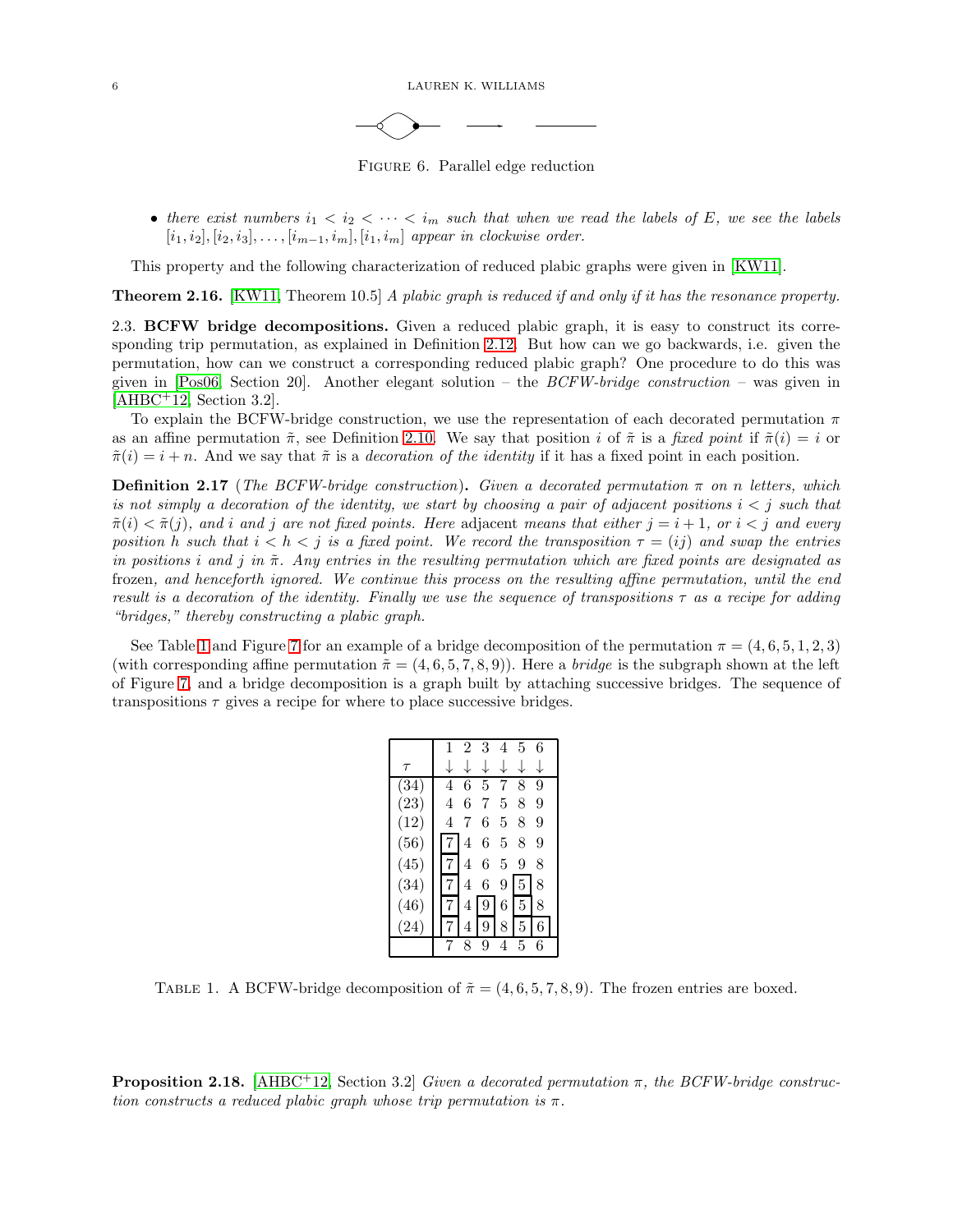6 LAUREN K. WILLIAMS

Figure 6. Parallel edge reduction

• there exist numbers  $i_1 < i_2 < \cdots < i_m$  such that when we read the labels of E, we see the labels  $[i_1, i_2], [i_2, i_3], \ldots, [i_{m-1}, i_m], [i_1, i_m]$  appear in clockwise order.

This property and the following characterization of reduced plabic graphs were given in [\[KW11\]](#page-11-5).

**Theorem 2.16.** [\[KW11,](#page-11-5) Theorem 10.5] A plabic graph is reduced if and only if it has the resonance property.

2.3. BCFW bridge decompositions. Given a reduced plabic graph, it is easy to construct its corresponding trip permutation, as explained in Definition [2.12.](#page-3-0) But how can we go backwards, i.e. given the permutation, how can we construct a corresponding reduced plabic graph? One procedure to do this was given in  $[Pos06, Section 20]$ . Another elegant solution – the  $BCFW-bridge$  construction – was given in  $[AHBC+12, Section 3.2].$  $[AHBC+12, Section 3.2].$ 

To explain the BCFW-bridge construction, we use the representation of each decorated permutation  $\pi$ as an affine permutation  $\tilde{\pi}$ , see Definition [2.10.](#page-3-1) We say that position i of  $\tilde{\pi}$  is a fixed point if  $\tilde{\pi}(i) = i$  or  $\tilde{\pi}(i) = i + n$ . And we say that  $\tilde{\pi}$  is a *decoration of the identity* if it has a fixed point in each position.

<span id="page-5-1"></span>**Definition 2.17** (The BCFW-bridge construction). Given a decorated permutation  $\pi$  on n letters, which is not simply a decoration of the identity, we start by choosing a pair of adjacent positions  $i < j$  such that  $\tilde{\pi}(i) < \tilde{\pi}(j)$ , and i and j are not fixed points. Here adjacent means that either  $j = i + 1$ , or  $i < j$  and every position h such that  $i < h < j$  is a fixed point. We record the transposition  $\tau = (ij)$  and swap the entries in positions i and j in  $\tilde{\pi}$ . Any entries in the resulting permutation which are fixed points are designated as frozen, and henceforth ignored. We continue this process on the resulting affine permutation, until the end result is a decoration of the identity. Finally we use the sequence of transpositions  $\tau$  as a recipe for adding "bridges," thereby constructing a plabic graph.

<span id="page-5-0"></span>See Table [1](#page-5-0) and Figure [7](#page-6-1) for an example of a bridge decomposition of the permutation  $\pi = (4, 6, 5, 1, 2, 3)$ (with corresponding affine permutation  $\tilde{\pi} = (4, 6, 5, 7, 8, 9)$ ). Here a *bridge* is the subgraph shown at the left of Figure [7,](#page-6-1) and a bridge decomposition is a graph built by attaching successive bridges. The sequence of transpositions  $\tau$  gives a recipe for where to place successive bridges.

|                    |   | 2 | 3 | 4 | 5 | 6 |
|--------------------|---|---|---|---|---|---|
| $\tau$             |   |   |   |   |   |   |
| (34)               | 4 | 6 | 5 |   | 8 | 9 |
| (23)               | 4 | 6 | 7 | 5 | 8 | 9 |
| (12)               | 4 | 7 | 6 | 5 | 8 | 9 |
| (56)               |   | 4 | 6 | 5 | 8 | 9 |
| (45)               |   | 4 | 6 | 5 | 9 | 8 |
| (34)               |   | 4 | 6 | 9 | 5 | 8 |
| (46)               |   | 4 | 9 | 6 | 5 | 8 |
| $\left( 24\right)$ |   | 4 | 9 | 8 | 5 | 6 |
|                    |   | 8 | 9 |   | 5 | 6 |

TABLE 1. A BCFW-bridge decomposition of  $\tilde{\pi} = (4, 6, 5, 7, 8, 9)$ . The frozen entries are boxed.

**Proposition 2.18.** [\[AHBC](#page-11-6)<sup>+12</sup>, Section 3.2] Given a decorated permutation  $\pi$ , the BCFW-bridge construction constructs a reduced plabic graph whose trip permutation is  $\pi$ .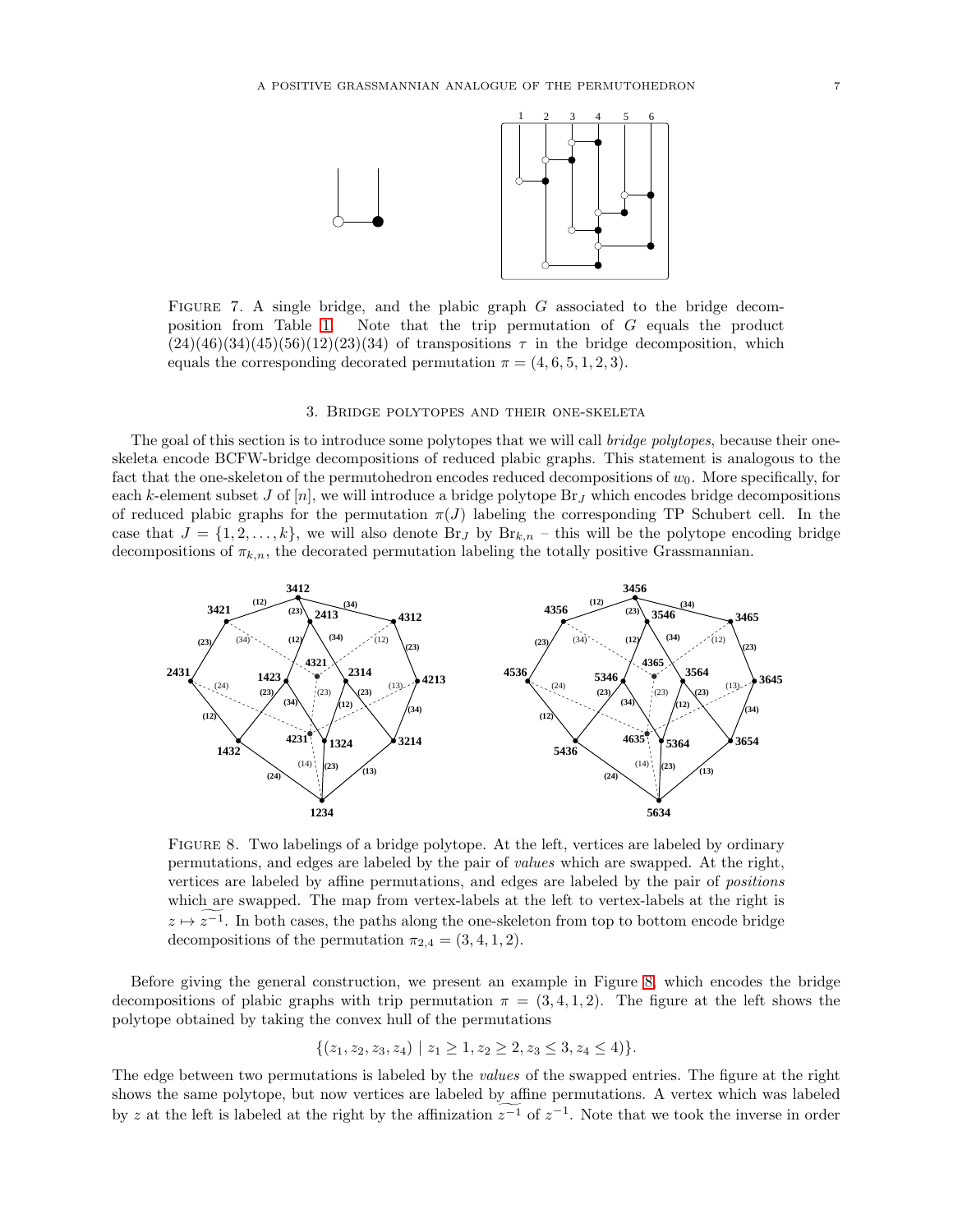<span id="page-6-1"></span>

FIGURE 7. A single bridge, and the plabic graph  $G$  associated to the bridge decomposition from Table [1.](#page-5-0) Note that the trip permutation of G equals the product  $(24)(46)(34)(45)(56)(12)(23)(34)$  of transpositions  $\tau$  in the bridge decomposition, which equals the corresponding decorated permutation  $\pi = (4, 6, 5, 1, 2, 3)$ .

## 3. Bridge polytopes and their one-skeleta

<span id="page-6-0"></span>The goal of this section is to introduce some polytopes that we will call bridge polytopes, because their oneskeleta encode BCFW-bridge decompositions of reduced plabic graphs. This statement is analogous to the fact that the one-skeleton of the permutohedron encodes reduced decompositions of  $w_0$ . More specifically, for each k-element subset J of  $[n]$ , we will introduce a bridge polytope  $\text{Br}_J$  which encodes bridge decompositions of reduced plabic graphs for the permutation  $\pi(J)$  labeling the corresponding TP Schubert cell. In the case that  $J = \{1, 2, \ldots, k\}$ , we will also denote Br<sub>J</sub> by Br<sub>k,n</sub> – this will be the polytope encoding bridge decompositions of  $\pi_{k,n}$ , the decorated permutation labeling the totally positive Grassmannian.

<span id="page-6-2"></span>

FIGURE 8. Two labelings of a bridge polytope. At the left, vertices are labeled by ordinary permutations, and edges are labeled by the pair of values which are swapped. At the right, vertices are labeled by affine permutations, and edges are labeled by the pair of positions which are swapped. The map from vertex-labels at the left to vertex-labels at the right is  $z \mapsto z^{-1}$ . In both cases, the paths along the one-skeleton from top to bottom encode bridge decompositions of the permutation  $\pi_{2,4} = (3, 4, 1, 2)$ .

Before giving the general construction, we present an example in Figure [8,](#page-6-2) which encodes the bridge decompositions of plabic graphs with trip permutation  $\pi = (3, 4, 1, 2)$ . The figure at the left shows the polytope obtained by taking the convex hull of the permutations

$$
\{(z_1, z_2, z_3, z_4) \mid z_1 \geq 1, z_2 \geq 2, z_3 \leq 3, z_4 \leq 4)\}.
$$

The edge between two permutations is labeled by the values of the swapped entries. The figure at the right shows the same polytope, but now vertices are labeled by affine permutations. A vertex which was labeled by z at the left is labeled at the right by the affinization  $z^{-1}$  of  $z^{-1}$ . Note that we took the inverse in order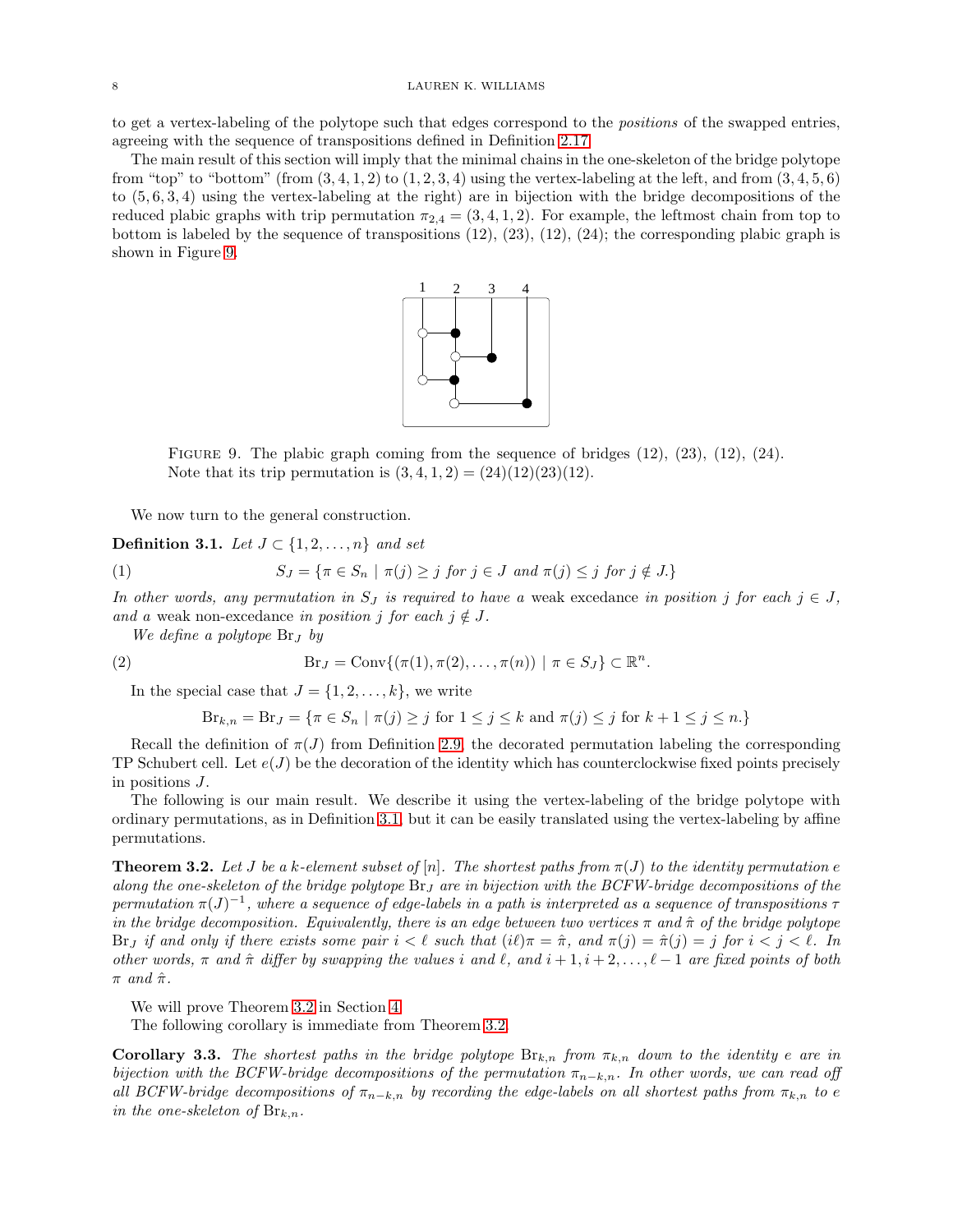to get a vertex-labeling of the polytope such that edges correspond to the positions of the swapped entries, agreeing with the sequence of transpositions defined in Definition [2.17.](#page-5-1)

<span id="page-7-1"></span>The main result of this section will imply that the minimal chains in the one-skeleton of the bridge polytope from "top" to "bottom" (from  $(3,4,1,2)$  to  $(1,2,3,4)$  using the vertex-labeling at the left, and from  $(3,4,5,6)$ ) to (5, 6, 3, 4) using the vertex-labeling at the right) are in bijection with the bridge decompositions of the reduced plabic graphs with trip permutation  $\pi_{2,4} = (3,4,1,2)$ . For example, the leftmost chain from top to bottom is labeled by the sequence of transpositions  $(12)$ ,  $(23)$ ,  $(12)$ ,  $(24)$ ; the corresponding plabic graph is shown in Figure [9.](#page-7-1)



FIGURE 9. The plabic graph coming from the sequence of bridges  $(12)$ ,  $(23)$ ,  $(12)$ ,  $(24)$ . Note that its trip permutation is  $(3, 4, 1, 2) = (24)(12)(23)(12)$ .

We now turn to the general construction.

<span id="page-7-2"></span>Definition 3.1. Let  $J \subset \{1, 2, \ldots, n\}$  and set

(1) 
$$
S_J = \{ \pi \in S_n \mid \pi(j) \ge j \text{ for } j \in J \text{ and } \pi(j) \le j \text{ for } j \notin J. \}
$$

In other words, any permutation in  $S_J$  is required to have a weak excedance in position j for each  $j \in J$ , and a weak non-excedance in position j for each  $j \notin J$ .

We define a polytope  $\text{Br}_J$  by

(2)  $\text{Br}_J = \text{Conv}\{(\pi(1), \pi(2), \dots, \pi(n)) \mid \pi \in S_J\} \subset \mathbb{R}^n.$ 

In the special case that  $J = \{1, 2, \ldots, k\}$ , we write

$$
Br_{k,n} = Br_J = \{ \pi \in S_n \mid \pi(j) \ge j \text{ for } 1 \le j \le k \text{ and } \pi(j) \le j \text{ for } k+1 \le j \le n. \}
$$

Recall the definition of  $\pi(J)$  from Definition [2.9,](#page-3-2) the decorated permutation labeling the corresponding TP Schubert cell. Let  $e(J)$  be the decoration of the identity which has counterclockwise fixed points precisely in positions J.

The following is our main result. We describe it using the vertex-labeling of the bridge polytope with ordinary permutations, as in Definition [3.1,](#page-7-2) but it can be easily translated using the vertex-labeling by affine permutations.

<span id="page-7-0"></span>**Theorem 3.2.** Let J be a k-element subset of  $[n]$ . The shortest paths from  $\pi(J)$  to the identity permutation e along the one-skeleton of the bridge polytope  $\text{Br}_J$  are in bijection with the BCFW-bridge decompositions of the permutation  $\pi(J)^{-1}$ , where a sequence of edge-labels in a path is interpreted as a sequence of transpositions  $\tau$ in the bridge decomposition. Equivalently, there is an edge between two vertices  $\pi$  and  $\hat{\pi}$  of the bridge polytope Brj if and only if there exists some pair  $i < \ell$  such that  $(i\ell)\pi = \hat{\pi}$ , and  $\pi(j) = \hat{\pi}(j) = j$  for  $i < j < \ell$ . In other words,  $\pi$  and  $\hat{\pi}$  differ by swapping the values i and  $\ell$ , and  $i+1, i+2, \ldots, \ell-1$  are fixed points of both  $\pi$  and  $\hat{\pi}$ .

We will prove Theorem [3.2](#page-7-0) in Section [4.](#page-8-0)

The following corollary is immediate from Theorem [3.2.](#page-7-0)

**Corollary 3.3.** The shortest paths in the bridge polytope  $B_{k,n}$  from  $\pi_{k,n}$  down to the identity e are in bijection with the BCFW-bridge decompositions of the permutation  $\pi_{n-k,n}$ . In other words, we can read off all BCFW-bridge decompositions of  $\pi_{n-k,n}$  by recording the edge-labels on all shortest paths from  $\pi_{k,n}$  to e in the one-skeleton of  $\text{Br}_{k,n}$ .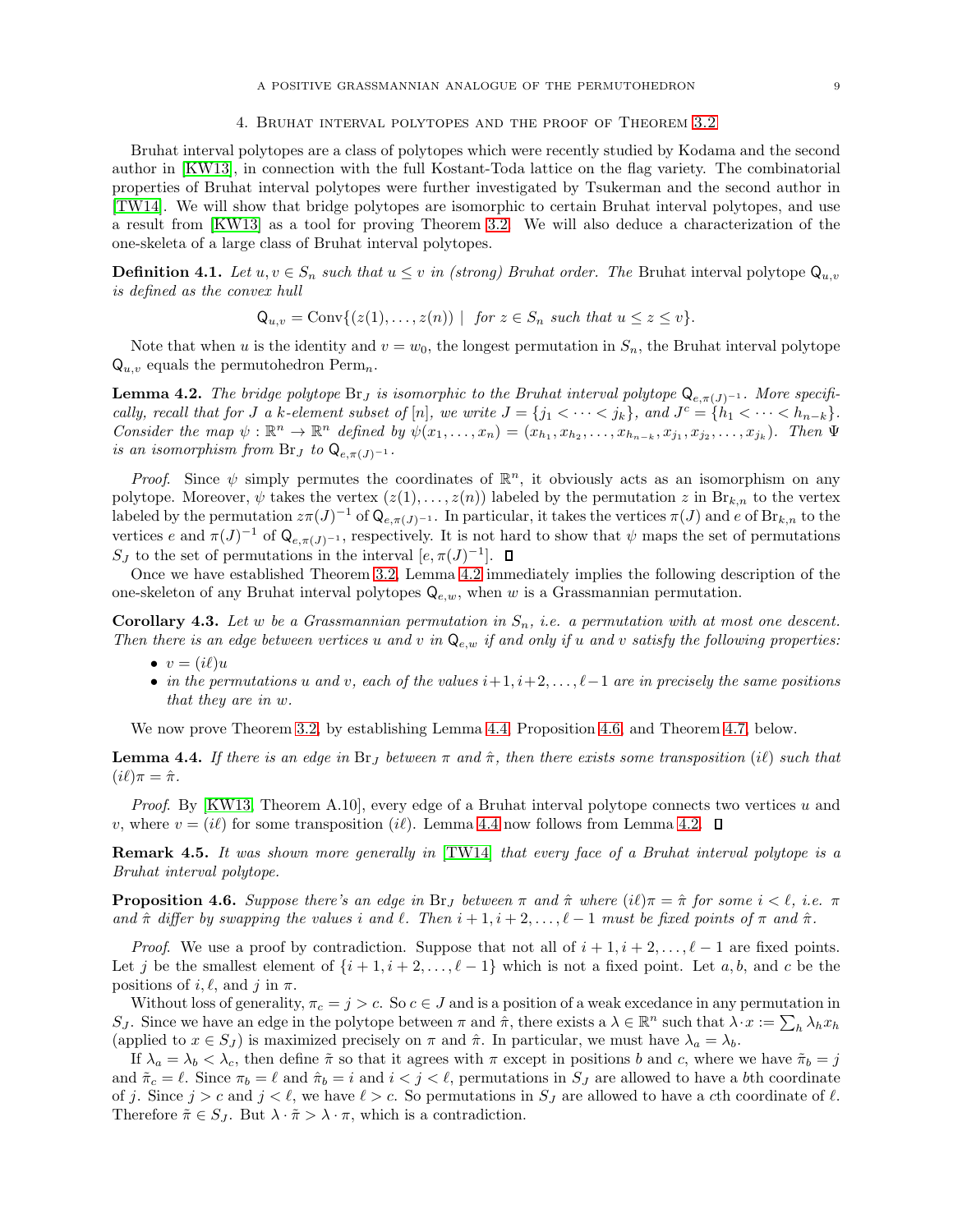#### 4. Bruhat interval polytopes and the proof of Theorem [3.2](#page-7-0)

<span id="page-8-0"></span>Bruhat interval polytopes are a class of polytopes which were recently studied by Kodama and the second author in [\[KW13\]](#page-11-13), in connection with the full Kostant-Toda lattice on the flag variety. The combinatorial properties of Bruhat interval polytopes were further investigated by Tsukerman and the second author in [\[TW14\]](#page-11-14). We will show that bridge polytopes are isomorphic to certain Bruhat interval polytopes, and use a result from [\[KW13\]](#page-11-13) as a tool for proving Theorem [3.2.](#page-7-0) We will also deduce a characterization of the one-skeleta of a large class of Bruhat interval polytopes.

**Definition 4.1.** Let  $u, v \in S_n$  such that  $u \leq v$  in (strong) Bruhat order. The Bruhat interval polytope  $Q_{u,v}$ is defined as the convex hull

$$
Q_{u,v} = Conv\{(z(1),...,z(n)) \mid \text{ for } z \in S_n \text{ such that } u \leq z \leq v\}.
$$

Note that when u is the identity and  $v = w_0$ , the longest permutation in  $S_n$ , the Bruhat interval polytope  $\mathsf{Q}_{u,v}$  equals the permutohedron Perm<sub>n</sub>.

<span id="page-8-1"></span>**Lemma 4.2.** The bridge polytope  $\text{Br}_J$  is isomorphic to the Bruhat interval polytope  $\text{Q}_{e,\pi(J)^{-1}}$ . More specifically, recall that for J a k-element subset of [n], we write  $J = \{j_1 < \cdots < j_k\}$ , and  $J^c = \{h_1 < \cdots < h_{n-k}\}.$ Consider the map  $\psi : \mathbb{R}^n \to \mathbb{R}^n$  defined by  $\psi(x_1, \ldots, x_n) = (x_{h_1}, x_{h_2}, \ldots, x_{h_{n-k}}, x_{j_1}, x_{j_2}, \ldots, x_{j_k})$ . Then  $\Psi$ is an isomorphism from Br<sub>J</sub> to  $Q_{e,\pi(J)^{-1}}$ .

*Proof.* Since  $\psi$  simply permutes the coordinates of  $\mathbb{R}^n$ , it obviously acts as an isomorphism on any polytope. Moreover,  $\psi$  takes the vertex  $(z(1), \ldots, z(n))$  labeled by the permutation z in  $\text{Br}_{k,n}$  to the vertex labeled by the permutation  $z\pi(J)^{-1}$  of  $\mathsf{Q}_{e,\pi(J)^{-1}}$ . In particular, it takes the vertices  $\pi(J)$  and e of  $\text{Br}_{k,n}$  to the vertices e and  $\pi(J)^{-1}$  of  $\mathsf{Q}_{e,\pi(J)^{-1}}$ , respectively. It is not hard to show that  $\psi$  maps the set of permutations S<sub>J</sub> to the set of permutations in the interval  $[e, \pi(J)^{-1}]$ .

Once we have established Theorem [3.2,](#page-7-0) Lemma [4.2](#page-8-1) immediately implies the following description of the one-skeleton of any Bruhat interval polytopes  $Q_{e,w}$ , when w is a Grassmannian permutation.

**Corollary 4.3.** Let w be a Grassmannian permutation in  $S_n$ , i.e. a permutation with at most one descent. Then there is an edge between vertices u and v in  $Q_{e,w}$  if and only if u and v satisfy the following properties:

- $v = (i\ell)u$
- in the permutations u and v, each of the values  $i+1, i+2, \ldots, \ell-1$  are in precisely the same positions that they are in w.

We now prove Theorem [3.2,](#page-7-0) by establishing Lemma [4.4,](#page-8-2) Proposition [4.6,](#page-8-3) and Theorem [4.7,](#page-9-0) below.

<span id="page-8-2"></span>**Lemma 4.4.** If there is an edge in Br<sub>J</sub> between  $\pi$  and  $\hat{\pi}$ , then there exists some transposition (i) such that  $(i\ell)\pi = \hat{\pi}.$ 

Proof. By [\[KW13,](#page-11-13) Theorem A.10], every edge of a Bruhat interval polytope connects two vertices u and v, where  $v = (i\ell)$  for some transposition  $(i\ell)$ . Lemma [4.4](#page-8-2) now follows from Lemma [4.2.](#page-8-1)  $\Box$ 

Remark 4.5. It was shown more generally in [\[TW14\]](#page-11-14) that every face of a Bruhat interval polytope is a Bruhat interval polytope.

<span id="page-8-3"></span>**Proposition 4.6.** Suppose there's an edge in Br<sub>J</sub> between  $\pi$  and  $\hat{\pi}$  where  $(i\ell)\pi = \hat{\pi}$  for some  $i < \ell$ , i.e.  $\pi$ and  $\hat{\pi}$  differ by swapping the values i and  $\ell$ . Then  $i+1, i+2, \ldots, \ell-1$  must be fixed points of  $\pi$  and  $\hat{\pi}$ .

*Proof.* We use a proof by contradiction. Suppose that not all of  $i + 1, i + 2, \ldots, \ell - 1$  are fixed points. Let j be the smallest element of  $\{i+1,i+2,\ldots,\ell-1\}$  which is not a fixed point. Let  $a, b$ , and c be the positions of i,  $\ell$ , and j in  $\pi$ .

Without loss of generality,  $\pi_c = j > c$ . So  $c \in J$  and is a position of a weak excedance in any permutation in S<sub>J</sub>. Since we have an edge in the polytope between  $\pi$  and  $\hat{\pi}$ , there exists a  $\lambda \in \mathbb{R}^n$  such that  $\lambda \cdot x := \sum_h \lambda_h x_h$ (applied to  $x \in S_j$ ) is maximized precisely on  $\pi$  and  $\hat{\pi}$ . In particular, we must have  $\lambda_a = \lambda_b$ .

If  $\lambda_a = \lambda_b < \lambda_c$ , then define  $\tilde{\pi}$  so that it agrees with  $\pi$  except in positions b and c, where we have  $\tilde{\pi}_b = j$ and  $\tilde{\pi}_c = \ell$ . Since  $\pi_b = \ell$  and  $\hat{\pi}_b = i$  and  $i < j < \ell$ , permutations in  $S_j$  are allowed to have a bth coordinate of j. Since  $j > c$  and  $j < l$ , we have  $l > c$ . So permutations in  $S_j$  are allowed to have a cth coordinate of  $l$ . Therefore  $\tilde{\pi} \in S_J$ . But  $\lambda \cdot \tilde{\pi} > \lambda \cdot \pi$ , which is a contradiction.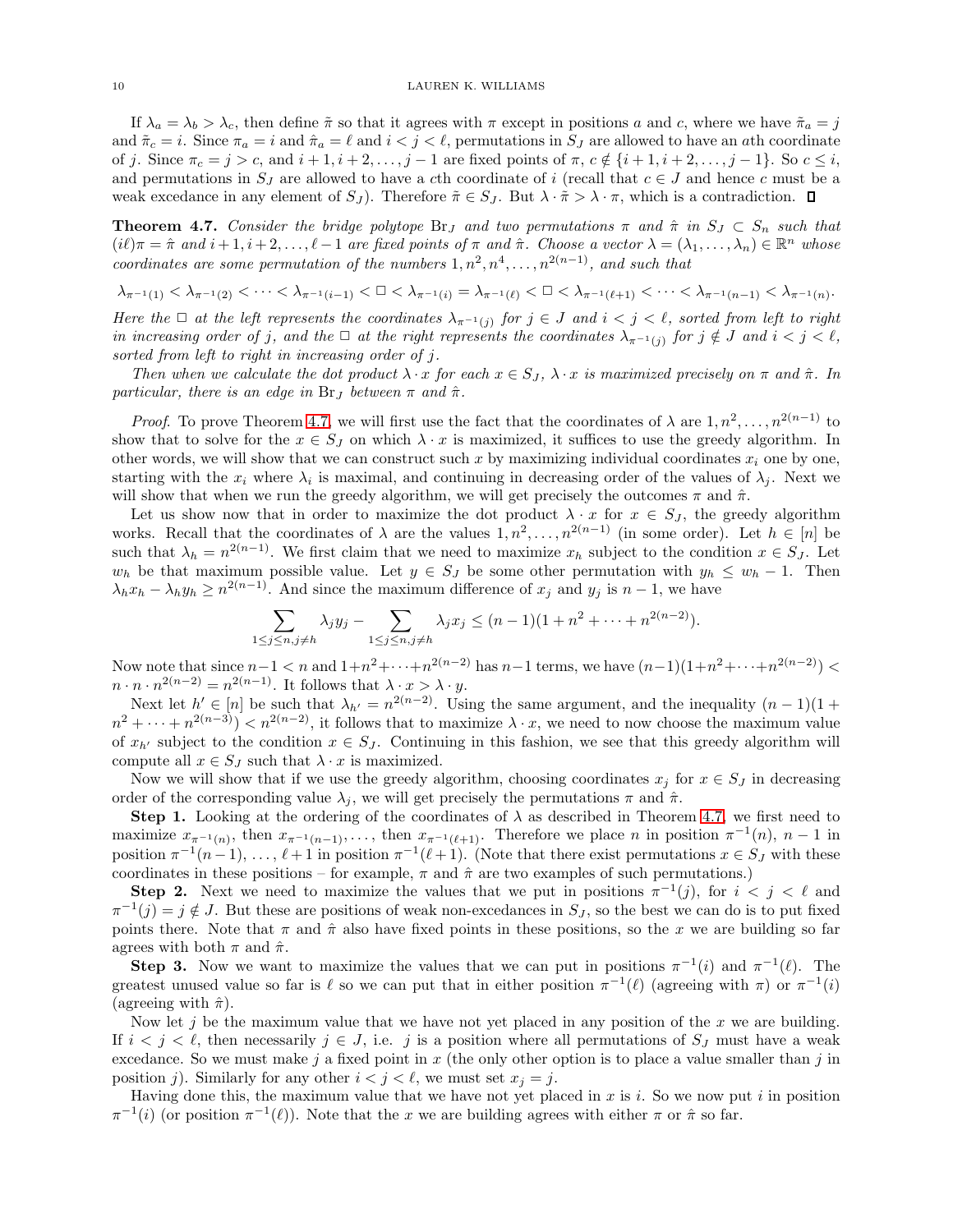If  $\lambda_a = \lambda_b > \lambda_c$ , then define  $\tilde{\pi}$  so that it agrees with  $\pi$  except in positions a and c, where we have  $\tilde{\pi}_a = j$ and  $\tilde{\pi}_c = i$ . Since  $\pi_a = i$  and  $\hat{\pi}_a = \ell$  and  $i < j < \ell$ , permutations in  $S_j$  are allowed to have an *ath* coordinate of j. Since  $\pi_c = j > c$ , and  $i + 1, i + 2, \ldots, j - 1$  are fixed points of  $\pi, c \notin \{i + 1, i + 2, \ldots, j - 1\}$ . So  $c \leq i$ , and permutations in  $S_J$  are allowed to have a cth coordinate of i (recall that  $c \in J$  and hence c must be a weak excedance in any element of  $S_J$ ). Therefore  $\tilde{\pi} \in S_J$ . But  $\lambda \cdot \tilde{\pi} > \lambda \cdot \pi$ , which is a contradiction.  $\Box$ 

<span id="page-9-0"></span>**Theorem 4.7.** Consider the bridge polytope  $\text{Br}_J$  and two permutations  $\pi$  and  $\hat{\pi}$  in  $S_J \subset S_n$  such that  $(i\ell)\pi = \hat{\pi}$  and  $i+1, i+2, \ldots, \ell-1$  are fixed points of  $\pi$  and  $\hat{\pi}$ . Choose a vector  $\lambda = (\lambda_1, \ldots, \lambda_n) \in \mathbb{R}^n$  whose coordinates are some permutation of the numbers  $1, n^2, n^4, \ldots, n^{2(n-1)}$ , and such that

$$
\lambda_{\pi^{-1}(1)}<\lambda_{\pi^{-1}(2)}<\cdots<\lambda_{\pi^{-1}(i-1)}<\square<\lambda_{\pi^{-1}(i)}=\lambda_{\pi^{-1}(\ell)}<\square<\lambda_{\pi^{-1}(\ell+1)}<\cdots<\lambda_{\pi^{-1}(n-1)}<\lambda_{\pi^{-1}(n)}.
$$

Here the  $\Box$  at the left represents the coordinates  $\lambda_{\pi^{-1}(j)}$  for  $j \in J$  and  $i < j < \ell$ , sorted from left to right in increasing order of j, and the  $\Box$  at the right represents the coordinates  $\lambda_{\pi^{-1}(j)}$  for  $j \notin J$  and  $i < j < \ell$ , sorted from left to right in increasing order of j.

Then when we calculate the dot product  $\lambda \cdot x$  for each  $x \in S_J$ ,  $\lambda \cdot x$  is maximized precisely on  $\pi$  and  $\hat{\pi}$ . In particular, there is an edge in  $\text{Br}_J$  between  $\pi$  and  $\hat{\pi}$ .

*Proof.* To prove Theorem [4.7,](#page-9-0) we will first use the fact that the coordinates of  $\lambda$  are  $1, n^2, \ldots, n^{2(n-1)}$  to show that to solve for the  $x \in S_J$  on which  $\lambda \cdot x$  is maximized, it suffices to use the greedy algorithm. In other words, we will show that we can construct such x by maximizing individual coordinates  $x_i$  one by one, starting with the  $x_i$  where  $\lambda_i$  is maximal, and continuing in decreasing order of the values of  $\lambda_j$ . Next we will show that when we run the greedy algorithm, we will get precisely the outcomes  $\pi$  and  $\hat{\pi}$ .

Let us show now that in order to maximize the dot product  $\lambda \cdot x$  for  $x \in S_J$ , the greedy algorithm works. Recall that the coordinates of  $\lambda$  are the values  $1, n^2, \ldots, n^{2(n-1)}$  (in some order). Let  $h \in [n]$  be such that  $\lambda_h = n^{2(n-1)}$ . We first claim that we need to maximize  $x_h$  subject to the condition  $x \in S_J$ . Let  $w_h$  be that maximum possible value. Let  $y \in S_J$  be some other permutation with  $y_h \leq w_h - 1$ . Then  $\lambda_h x_h - \lambda_h y_h \geq n^{2(n-1)}$ . And since the maximum difference of  $x_j$  and  $y_j$  is  $n-1$ , we have

$$
\sum_{1 \leq j \leq n, j \neq h} \lambda_j y_j - \sum_{1 \leq j \leq n, j \neq h} \lambda_j x_j \leq (n-1)(1+n^2+\cdots+n^{2(n-2)}).
$$

Now note that since  $n-1 < n$  and  $1+n^2+\cdots+n^{2(n-2)}$  has  $n-1$  terms, we have  $(n-1)(1+n^2+\cdots+n^{2(n-2)}) <$  $n \cdot n \cdot n^{2(n-2)} = n^{2(n-1)}$ . It follows that  $\lambda \cdot x > \lambda \cdot y$ .

Next let  $h' \in [n]$  be such that  $\lambda_{h'} = n^{2(n-2)}$ . Using the same argument, and the inequality  $(n-1)(1+1)$  $n^2 + \cdots + n^{2(n-3)}$  <  $n^{2(n-2)}$ , it follows that to maximize  $\lambda \cdot x$ , we need to now choose the maximum value of  $x_{h'}$  subject to the condition  $x \in S_J$ . Continuing in this fashion, we see that this greedy algorithm will compute all  $x \in S_J$  such that  $\lambda \cdot x$  is maximized.

Now we will show that if we use the greedy algorithm, choosing coordinates  $x_i$  for  $x \in S_J$  in decreasing order of the corresponding value  $\lambda_j$ , we will get precisely the permutations  $\pi$  and  $\hat{\pi}$ .

Step 1. Looking at the ordering of the coordinates of  $\lambda$  as described in Theorem [4.7,](#page-9-0) we first need to maximize  $x_{\pi^{-1}(n)}$ , then  $x_{\pi^{-1}(n-1)}$ ,..., then  $x_{\pi^{-1}(\ell+1)}$ . Therefore we place n in position  $\pi^{-1}(n)$ ,  $n-1$  in position  $\pi^{-1}(n-1), \ldots, \ell+1$  in position  $\pi^{-1}(\ell+1)$ . (Note that there exist permutations  $x \in S_J$  with these coordinates in these positions – for example,  $\pi$  and  $\hat{\pi}$  are two examples of such permutations.)

**Step 2.** Next we need to maximize the values that we put in positions  $\pi^{-1}(j)$ , for  $i < j < \ell$  and  $\pi^{-1}(j) = j \notin J$ . But these are positions of weak non-excedances in  $S_j$ , so the best we can do is to put fixed points there. Note that  $\pi$  and  $\hat{\pi}$  also have fixed points in these positions, so the x we are building so far agrees with both  $\pi$  and  $\hat{\pi}$ .

**Step 3.** Now we want to maximize the values that we can put in positions  $\pi^{-1}(i)$  and  $\pi^{-1}(\ell)$ . The greatest unused value so far is  $\ell$  so we can put that in either position  $\pi^{-1}(\ell)$  (agreeing with  $\pi$ ) or  $\pi^{-1}(i)$ (agreeing with  $\hat{\pi}$ ).

Now let j be the maximum value that we have not yet placed in any position of the x we are building. If  $i < j < \ell$ , then necessarily  $j \in J$ , i.e. j is a position where all permutations of  $S_j$  must have a weak excedance. So we must make j a fixed point in x (the only other option is to place a value smaller than j in position j). Similarly for any other  $i < j < \ell$ , we must set  $x_j = j$ .

Having done this, the maximum value that we have not yet placed in x is i. So we now put i in position  $\pi^{-1}(i)$  (or position  $\pi^{-1}(\ell)$ ). Note that the x we are building agrees with either  $\pi$  or  $\hat{\pi}$  so far.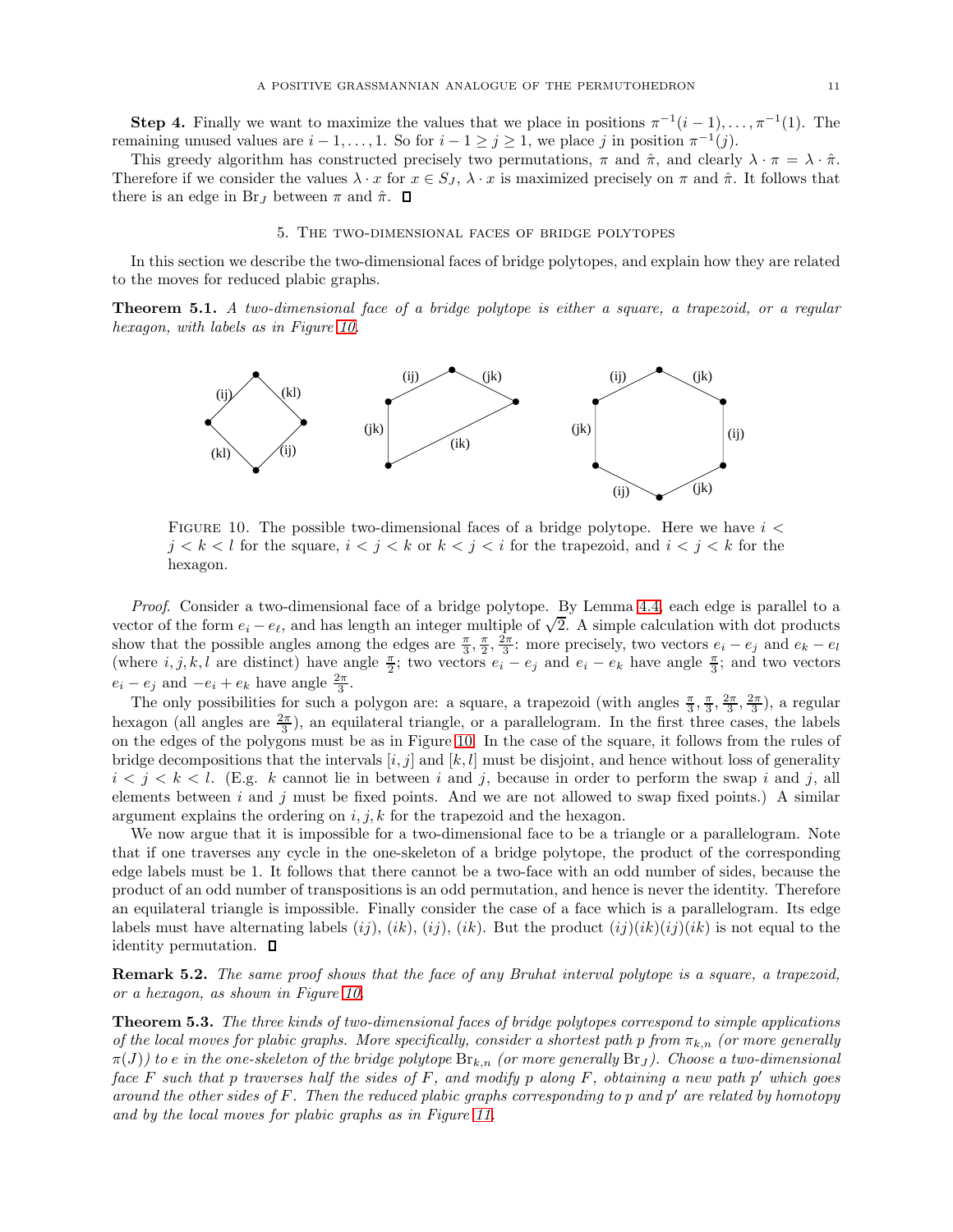**Step 4.** Finally we want to maximize the values that we place in positions  $\pi^{-1}(i-1), \ldots, \pi^{-1}(1)$ . The remaining unused values are  $i-1, \ldots, 1$ . So for  $i-1 \geq j \geq 1$ , we place j in position  $\pi^{-1}(j)$ .

This greedy algorithm has constructed precisely two permutations,  $\pi$  and  $\hat{\pi}$ , and clearly  $\lambda \cdot \pi = \lambda \cdot \hat{\pi}$ . Therefore if we consider the values  $\lambda \cdot x$  for  $x \in S_J$ ,  $\lambda \cdot x$  is maximized precisely on  $\pi$  and  $\hat{\pi}$ . It follows that there is an edge in Br<sub>J</sub> between  $\pi$  and  $\hat{\pi}$ .  $\Box$ 

### 5. The two-dimensional faces of bridge polytopes

<span id="page-10-0"></span>In this section we describe the two-dimensional faces of bridge polytopes, and explain how they are related to the moves for reduced plabic graphs.

<span id="page-10-1"></span>Theorem 5.1. A two-dimensional face of a bridge polytope is either a square, a trapezoid, or a regular hexagon, with labels as in Figure [10.](#page-10-1)



FIGURE 10. The possible two-dimensional faces of a bridge polytope. Here we have  $i <$  $j < k < l$  for the square,  $i < j < k$  or  $k < j < i$  for the trapezoid, and  $i < j < k$  for the hexagon.

Proof. Consider a two-dimensional face of a bridge polytope. By Lemma [4.4,](#page-8-2) each edge is parallel to a vector of the form  $e_i - e_\ell$ , and has length an integer multiple of  $\sqrt{2}$ . A simple calculation with dot products show that the possible angles among the edges are  $\frac{\pi}{3}, \frac{\pi}{2}, \frac{2\pi}{3}$ ; more precisely, two vectors  $e_i - e_j$  and  $e_k - e_l$ (where  $i, j, k, l$  are distinct) have angle  $\frac{\pi}{2}$ ; two vectors  $e_i - e_j$  and  $e_i - e_k$  have angle  $\frac{\pi}{3}$ ; and two vectors  $e_i - e_j$  and  $-e_i + e_k$  have angle  $\frac{2\pi}{3}$ .

The only possibilities for such a polygon are: a square, a trapezoid (with angles  $\frac{\pi}{3}, \frac{\pi}{3}, \frac{2\pi}{3}, \frac{2\pi}{3}$ ), a regular hexagon (all angles are  $\frac{2\pi}{3}$ ), an equilateral triangle, or a parallelogram. In the first three cases, the labels on the edges of the polygons must be as in Figure [10.](#page-10-1) In the case of the square, it follows from the rules of bridge decompositions that the intervals  $[i, j]$  and  $[k, l]$  must be disjoint, and hence without loss of generality  $i < j < k < l$ . (E.g. k cannot lie in between i and j, because in order to perform the swap i and j, all elements between i and j must be fixed points. And we are not allowed to swap fixed points.) A similar argument explains the ordering on  $i, j, k$  for the trapezoid and the hexagon.

We now argue that it is impossible for a two-dimensional face to be a triangle or a parallelogram. Note that if one traverses any cycle in the one-skeleton of a bridge polytope, the product of the corresponding edge labels must be 1. It follows that there cannot be a two-face with an odd number of sides, because the product of an odd number of transpositions is an odd permutation, and hence is never the identity. Therefore an equilateral triangle is impossible. Finally consider the case of a face which is a parallelogram. Its edge labels must have alternating labels  $(ij)$ ,  $(ik)$ ,  $(ij)$ ,  $(ik)$ . But the product  $(ij)(ik)(ij)(ik)$  is not equal to the identity permutation.

Remark 5.2. The same proof shows that the face of any Bruhat interval polytope is a square, a trapezoid, or a hexagon, as shown in Figure [10.](#page-10-1)

<span id="page-10-2"></span>Theorem 5.3. The three kinds of two-dimensional faces of bridge polytopes correspond to simple applications of the local moves for plabic graphs. More specifically, consider a shortest path p from  $\pi_{k,n}$  (or more generally  $\pi(J)$  to e in the one-skeleton of the bridge polytope  $\text{Br}_{k,n}$  (or more generally  $\text{Br}_J$ ). Choose a two-dimensional  $face F$  such that p traverses half the sides of  $F$ , and modify p along  $F$ , obtaining a new path  $p'$  which goes around the other sides of F. Then the reduced plabic graphs corresponding to p and p' are related by homotopy and by the local moves for plabic graphs as in Figure [11.](#page-11-15)